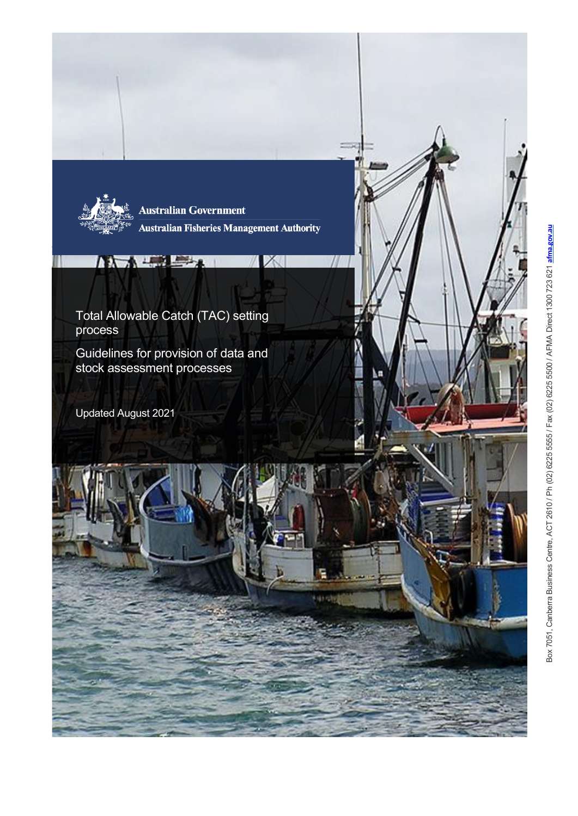

**Australian Government Australian Fisheries Management Authority** 

X

Total Allowable Catch (TAC) setting process

 $\mathbf{D}$  ,  $\mathbf{D}$  ,  $\mathbf{D}$ 

Guidelines for provision of data and stock assessment processes

Updated August 2021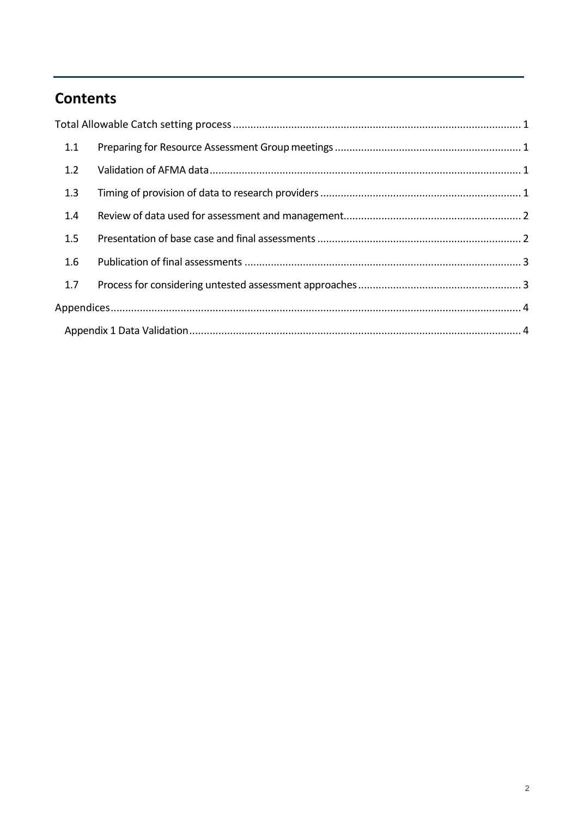# **Contents**

| 1.1 |  |  |
|-----|--|--|
| 1.2 |  |  |
| 1.3 |  |  |
| 1.4 |  |  |
| 1.5 |  |  |
| 1.6 |  |  |
| 1.7 |  |  |
|     |  |  |
|     |  |  |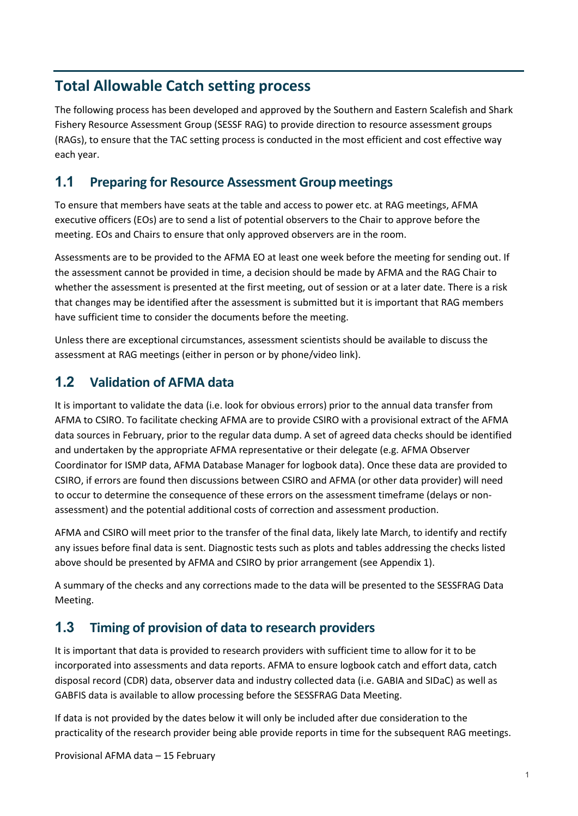# <span id="page-2-0"></span>**Total Allowable Catch setting process**

The following process has been developed and approved by the Southern and Eastern Scalefish and Shark Fishery Resource Assessment Group (SESSF RAG) to provide direction to resource assessment groups (RAGs), to ensure that the TAC setting process is conducted in the most efficient and cost effective way each year.

### <span id="page-2-1"></span>**1.1 Preparing for Resource Assessment Group meetings**

To ensure that members have seats at the table and access to power etc. at RAG meetings, AFMA executive officers (EOs) are to send a list of potential observers to the Chair to approve before the meeting. EOs and Chairs to ensure that only approved observers are in the room.

Assessments are to be provided to the AFMA EO at least one week before the meeting for sending out. If the assessment cannot be provided in time, a decision should be made by AFMA and the RAG Chair to whether the assessment is presented at the first meeting, out of session or at a later date. There is a risk that changes may be identified after the assessment is submitted but it is important that RAG members have sufficient time to consider the documents before the meeting.

Unless there are exceptional circumstances, assessment scientists should be available to discuss the assessment at RAG meetings (either in person or by phone/video link).

### <span id="page-2-2"></span>**1.2 Validation of AFMA data**

It is important to validate the data (i.e. look for obvious errors) prior to the annual data transfer from AFMA to CSIRO. To facilitate checking AFMA are to provide CSIRO with a provisional extract of the AFMA data sources in February, prior to the regular data dump. A set of agreed data checks should be identified and undertaken by the appropriate AFMA representative or their delegate (e.g. AFMA Observer Coordinator for ISMP data, AFMA Database Manager for logbook data). Once these data are provided to CSIRO, if errors are found then discussions between CSIRO and AFMA (or other data provider) will need to occur to determine the consequence of these errors on the assessment timeframe (delays or nonassessment) and the potential additional costs of correction and assessment production.

AFMA and CSIRO will meet prior to the transfer of the final data, likely late March, to identify and rectify any issues before final data is sent. Diagnostic tests such as plots and tables addressing the checks listed above should be presented by AFMA and CSIRO by prior arrangement (see Appendix 1).

A summary of the checks and any corrections made to the data will be presented to the SESSFRAG Data Meeting.

## <span id="page-2-3"></span>**1.3 Timing of provision of data to research providers**

It is important that data is provided to research providers with sufficient time to allow for it to be incorporated into assessments and data reports. AFMA to ensure logbook catch and effort data, catch disposal record (CDR) data, observer data and industry collected data (i.e. GABIA and SIDaC) as well as GABFIS data is available to allow processing before the SESSFRAG Data Meeting.

If data is not provided by the dates below it will only be included after due consideration to the practicality of the research provider being able provide reports in time for the subsequent RAG meetings.

Provisional AFMA data – 15 February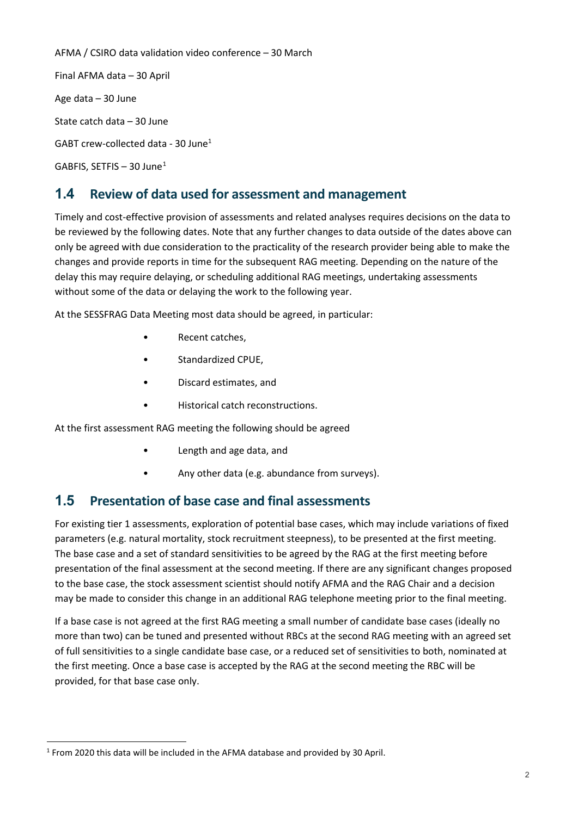AFMA / CSIRO data validation video conference – 30 March Final AFMA data – 30 April Age data – 30 June State catch data – 30 June GABT crew-collected data - 30 June1 GABFIS, SETFIS  $-30$  June<sup>[1](#page-3-2)</sup>

# <span id="page-3-0"></span>**1.4 Review of data used for assessment and management**

Timely and cost-effective provision of assessments and related analyses requires decisions on the data to be reviewed by the following dates. Note that any further changes to data outside of the dates above can only be agreed with due consideration to the practicality of the research provider being able to make the changes and provide reports in time for the subsequent RAG meeting. Depending on the nature of the delay this may require delaying, or scheduling additional RAG meetings, undertaking assessments without some of the data or delaying the work to the following year.

At the SESSFRAG Data Meeting most data should be agreed, in particular:

- Recent catches,
- Standardized CPUE,
- Discard estimates, and
- Historical catch reconstructions.

At the first assessment RAG meeting the following should be agreed

- Length and age data, and
- Any other data (e.g. abundance from surveys).

#### <span id="page-3-1"></span>**1.5 Presentation of base case and final assessments**

For existing tier 1 assessments, exploration of potential base cases, which may include variations of fixed parameters (e.g. natural mortality, stock recruitment steepness), to be presented at the first meeting. The base case and a set of standard sensitivities to be agreed by the RAG at the first meeting before presentation of the final assessment at the second meeting. If there are any significant changes proposed to the base case, the stock assessment scientist should notify AFMA and the RAG Chair and a decision may be made to consider this change in an additional RAG telephone meeting prior to the final meeting.

If a base case is not agreed at the first RAG meeting a small number of candidate base cases (ideally no more than two) can be tuned and presented without RBCs at the second RAG meeting with an agreed set of full sensitivities to a single candidate base case, or a reduced set of sensitivities to both, nominated at the first meeting. Once a base case is accepted by the RAG at the second meeting the RBC will be provided, for that base case only.

<span id="page-3-2"></span><sup>-</sup><sup>1</sup> From 2020 this data will be included in the AFMA database and provided by 30 April.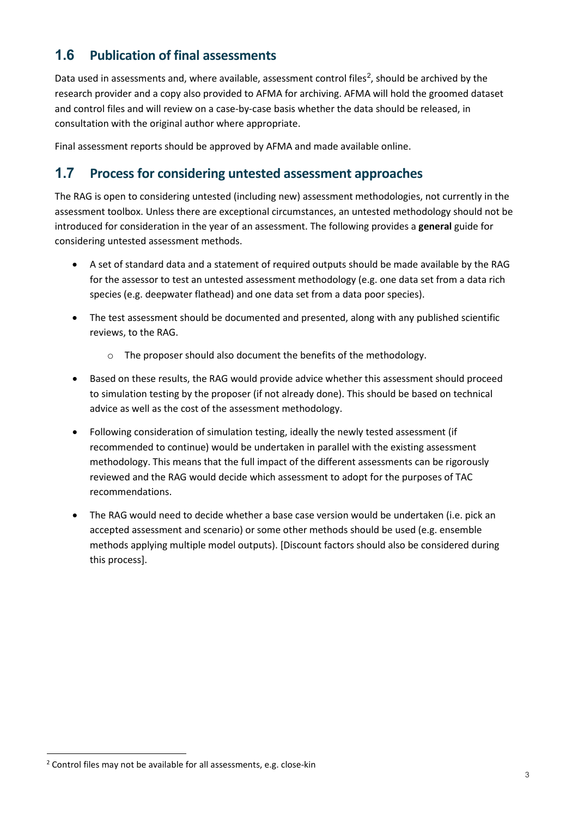# <span id="page-4-0"></span>**1.6 Publication of final assessments**

Data used in assessments and, where available, assessment control files<sup>[2](#page-4-2)</sup>, should be archived by the research provider and a copy also provided to AFMA for archiving. AFMA will hold the groomed dataset and control files and will review on a case-by-case basis whether the data should be released, in consultation with the original author where appropriate.

Final assessment reports should be approved by AFMA and made available online.

### <span id="page-4-1"></span>**1.7 Process for considering untested assessment approaches**

The RAG is open to considering untested (including new) assessment methodologies, not currently in the assessment toolbox. Unless there are exceptional circumstances, an untested methodology should not be introduced for consideration in the year of an assessment. The following provides a **general** guide for considering untested assessment methods.

- A set of standard data and a statement of required outputs should be made available by the RAG for the assessor to test an untested assessment methodology (e.g. one data set from a data rich species (e.g. deepwater flathead) and one data set from a data poor species).
- The test assessment should be documented and presented, along with any published scientific reviews, to the RAG.
	- o The proposer should also document the benefits of the methodology.
- Based on these results, the RAG would provide advice whether this assessment should proceed to simulation testing by the proposer (if not already done). This should be based on technical advice as well as the cost of the assessment methodology.
- Following consideration of simulation testing, ideally the newly tested assessment (if recommended to continue) would be undertaken in parallel with the existing assessment methodology. This means that the full impact of the different assessments can be rigorously reviewed and the RAG would decide which assessment to adopt for the purposes of TAC recommendations.
- The RAG would need to decide whether a base case version would be undertaken (i.e. pick an accepted assessment and scenario) or some other methods should be used (e.g. ensemble methods applying multiple model outputs). [Discount factors should also be considered during this process].

<span id="page-4-2"></span><sup>-</sup><sup>2</sup> Control files may not be available for all assessments, e.g. close-kin